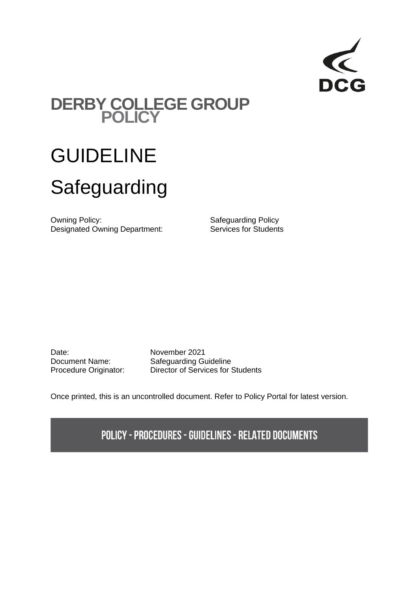

# **DERBY COLLEGE GROUP POLICY**

# GUIDELINE Safeguarding

Owning Policy: Safeguarding Policy Designated Owning Department: Services for Students

Date: November 2021

Document Name: Safeguarding Guideline Procedure Originator: Director of Services for Students

Once printed, this is an uncontrolled document. Refer to Policy Portal for latest version.

**POLICY - PROCEDURES - GUIDELINES - RELATED DOCUMENTS**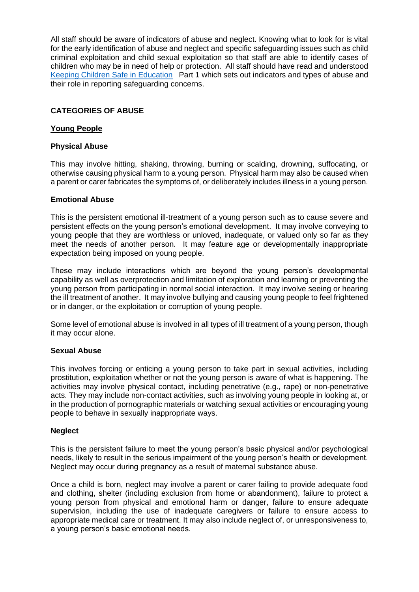All staff should be aware of indicators of abuse and neglect. Knowing what to look for is vital for the early identification of abuse and neglect and specific safeguarding issues such as child criminal exploitation and child sexual exploitation so that staff are able to identify cases of children who may be in need of help or protection. All staff should have read and understood [Keeping Children Safe in Education](https://www.gov.uk/government/publications/keeping-children-safe-in-education--2) Part 1 which sets out indicators and types of abuse and their role in reporting safeguarding concerns.

# **CATEGORIES OF ABUSE**

#### **Young People**

#### **Physical Abuse**

This may involve hitting, shaking, throwing, burning or scalding, drowning, suffocating, or otherwise causing physical harm to a young person. Physical harm may also be caused when a parent or carer fabricates the symptoms of, or deliberately includes illness in a young person.

#### **Emotional Abuse**

This is the persistent emotional ill-treatment of a young person such as to cause severe and persistent effects on the young person's emotional development. It may involve conveying to young people that they are worthless or unloved, inadequate, or valued only so far as they meet the needs of another person. It may feature age or developmentally inappropriate expectation being imposed on young people.

These may include interactions which are beyond the young person's developmental capability as well as overprotection and limitation of exploration and learning or preventing the young person from participating in normal social interaction. It may involve seeing or hearing the ill treatment of another. It may involve bullying and causing young people to feel frightened or in danger, or the exploitation or corruption of young people.

Some level of emotional abuse is involved in all types of ill treatment of a young person, though it may occur alone.

#### **Sexual Abuse**

This involves forcing or enticing a young person to take part in sexual activities, including prostitution, exploitation whether or not the young person is aware of what is happening. The activities may involve physical contact, including penetrative (e.g., rape) or non-penetrative acts. They may include non-contact activities, such as involving young people in looking at, or in the production of pornographic materials or watching sexual activities or encouraging young people to behave in sexually inappropriate ways.

#### **Neglect**

This is the persistent failure to meet the young person's basic physical and/or psychological needs, likely to result in the serious impairment of the young person's health or development. Neglect may occur during pregnancy as a result of maternal substance abuse.

Once a child is born, neglect may involve a parent or carer failing to provide adequate food and clothing, shelter (including exclusion from home or abandonment), failure to protect a young person from physical and emotional harm or danger, failure to ensure adequate supervision, including the use of inadequate caregivers or failure to ensure access to appropriate medical care or treatment. It may also include neglect of, or unresponsiveness to, a young person's basic emotional needs.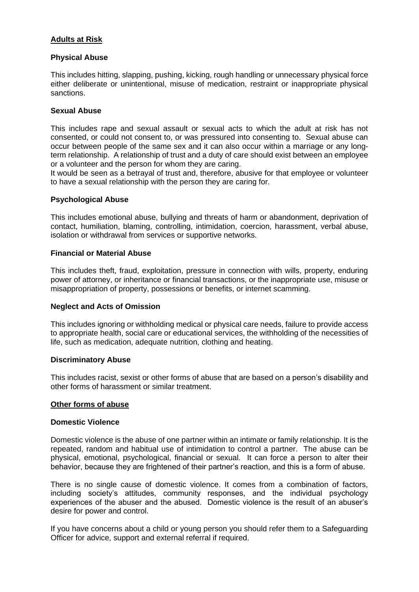# **Adults at Risk**

# **Physical Abuse**

This includes hitting, slapping, pushing, kicking, rough handling or unnecessary physical force either deliberate or unintentional, misuse of medication, restraint or inappropriate physical sanctions.

#### **Sexual Abuse**

This includes rape and sexual assault or sexual acts to which the adult at risk has not consented, or could not consent to, or was pressured into consenting to. Sexual abuse can occur between people of the same sex and it can also occur within a marriage or any longterm relationship. A relationship of trust and a duty of care should exist between an employee or a volunteer and the person for whom they are caring.

It would be seen as a betrayal of trust and, therefore, abusive for that employee or volunteer to have a sexual relationship with the person they are caring for.

# **Psychological Abuse**

This includes emotional abuse, bullying and threats of harm or abandonment, deprivation of contact, humiliation, blaming, controlling, intimidation, coercion, harassment, verbal abuse, isolation or withdrawal from services or supportive networks.

#### **Financial or Material Abuse**

This includes theft, fraud, exploitation, pressure in connection with wills, property, enduring power of attorney, or inheritance or financial transactions, or the inappropriate use, misuse or misappropriation of property, possessions or benefits, or internet scamming.

#### **Neglect and Acts of Omission**

This includes ignoring or withholding medical or physical care needs, failure to provide access to appropriate health, social care or educational services, the withholding of the necessities of life, such as medication, adequate nutrition, clothing and heating.

#### **Discriminatory Abuse**

This includes racist, sexist or other forms of abuse that are based on a person's disability and other forms of harassment or similar treatment.

#### **Other forms of abuse**

#### **Domestic Violence**

Domestic violence is the abuse of one partner within an intimate or family relationship. It is the repeated, random and habitual use of intimidation to control a partner. The abuse can be physical, emotional, psychological, financial or sexual. It can force a person to alter their behavior, because they are frightened of their partner's reaction, and this is a form of abuse.

There is no single cause of domestic violence. It comes from a combination of factors, including society's attitudes, community responses, and the individual psychology experiences of the abuser and the abused. Domestic violence is the result of an abuser's desire for power and control.

If you have concerns about a child or young person you should refer them to a Safeguarding Officer for advice, support and external referral if required.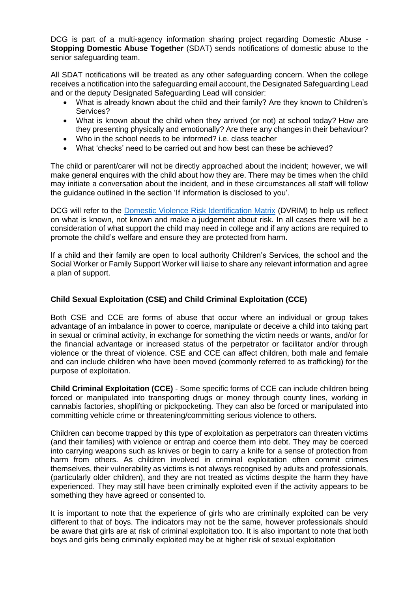DCG is part of a multi-agency information sharing project regarding Domestic Abuse - **Stopping Domestic Abuse Together** (SDAT) sends notifications of domestic abuse to the senior safeguarding team.

All SDAT notifications will be treated as any other safeguarding concern. When the college receives a notification into the safeguarding email account, the Designated Safeguarding Lead and or the deputy Designated Safeguarding Lead will consider:

- What is already known about the child and their family? Are they known to Children's Services?
- What is known about the child when they arrived (or not) at school today? How are they presenting physically and emotionally? Are there any changes in their behaviour?
- Who in the school needs to be informed? i.e. class teacher
- What 'checks' need to be carried out and how best can these be achieved?

The child or parent/carer will not be directly approached about the incident; however, we will make general enquires with the child about how they are. There may be times when the child may initiate a conversation about the incident, and in these circumstances all staff will follow the guidance outlined in the section 'If information is disclosed to you'.

DCG will refer to the [Domestic Violence Risk Identification Matrix](https://www.ddscp.org.uk/staff-and-volunteers/info-and-resources/domestic-abuse/) (DVRIM) to help us reflect on what is known, not known and make a judgement about risk. In all cases there will be a consideration of what support the child may need in college and if any actions are required to promote the child's welfare and ensure they are protected from harm.

If a child and their family are open to local authority Children's Services, the school and the Social Worker or Family Support Worker will liaise to share any relevant information and agree a plan of support.

# **Child Sexual Exploitation (CSE) and Child Criminal Exploitation (CCE)**

Both CSE and CCE are forms of abuse that occur where an individual or group takes advantage of an imbalance in power to coerce, manipulate or deceive a child into taking part in sexual or criminal activity, in exchange for something the victim needs or wants, and/or for the financial advantage or increased status of the perpetrator or facilitator and/or through violence or the threat of violence. CSE and CCE can affect children, both male and female and can include children who have been moved (commonly referred to as trafficking) for the purpose of exploitation.

**Child Criminal Exploitation (CCE)** - Some specific forms of CCE can include children being forced or manipulated into transporting drugs or money through county lines, working in cannabis factories, shoplifting or pickpocketing. They can also be forced or manipulated into committing vehicle crime or threatening/committing serious violence to others.

Children can become trapped by this type of exploitation as perpetrators can threaten victims (and their families) with violence or entrap and coerce them into debt. They may be coerced into carrying weapons such as knives or begin to carry a knife for a sense of protection from harm from others. As children involved in criminal exploitation often commit crimes themselves, their vulnerability as victims is not always recognised by adults and professionals, (particularly older children), and they are not treated as victims despite the harm they have experienced. They may still have been criminally exploited even if the activity appears to be something they have agreed or consented to.

It is important to note that the experience of girls who are criminally exploited can be very different to that of boys. The indicators may not be the same, however professionals should be aware that girls are at risk of criminal exploitation too. It is also important to note that both boys and girls being criminally exploited may be at higher risk of sexual exploitation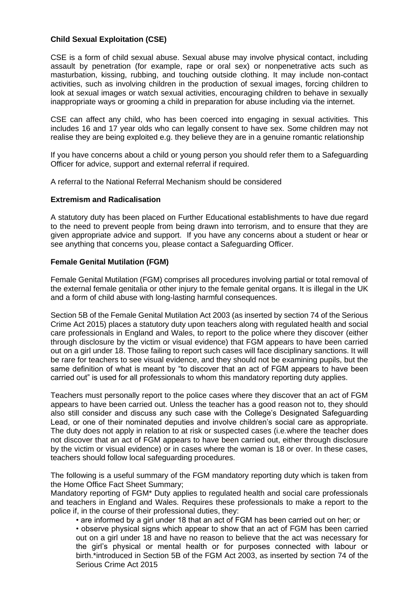# **Child Sexual Exploitation (CSE)**

CSE is a form of child sexual abuse. Sexual abuse may involve physical contact, including assault by penetration (for example, rape or oral sex) or nonpenetrative acts such as masturbation, kissing, rubbing, and touching outside clothing. It may include non-contact activities, such as involving children in the production of sexual images, forcing children to look at sexual images or watch sexual activities, encouraging children to behave in sexually inappropriate ways or grooming a child in preparation for abuse including via the internet.

CSE can affect any child, who has been coerced into engaging in sexual activities. This includes 16 and 17 year olds who can legally consent to have sex. Some children may not realise they are being exploited e.g. they believe they are in a genuine romantic relationship

If you have concerns about a child or young person you should refer them to a Safeguarding Officer for advice, support and external referral if required.

A referral to the National Referral Mechanism should be considered

#### **Extremism and Radicalisation**

A statutory duty has been placed on Further Educational establishments to have due regard to the need to prevent people from being drawn into terrorism, and to ensure that they are given appropriate advice and support. If you have any concerns about a student or hear or see anything that concerns you, please contact a Safeguarding Officer.

#### **Female Genital Mutilation (FGM)**

Female Genital Mutilation (FGM) comprises all procedures involving partial or total removal of the external female genitalia or other injury to the female genital organs. It is illegal in the UK and a form of child abuse with long-lasting harmful consequences.

Section 5B of the Female Genital Mutilation Act 2003 (as inserted by section 74 of the Serious Crime Act 2015) places a statutory duty upon teachers along with regulated health and social care professionals in England and Wales, to report to the police where they discover (either through disclosure by the victim or visual evidence) that FGM appears to have been carried out on a girl under 18. Those failing to report such cases will face disciplinary sanctions. It will be rare for teachers to see visual evidence, and they should not be examining pupils, but the same definition of what is meant by "to discover that an act of FGM appears to have been carried out" is used for all professionals to whom this mandatory reporting duty applies.

Teachers must personally report to the police cases where they discover that an act of FGM appears to have been carried out. Unless the teacher has a good reason not to, they should also still consider and discuss any such case with the College's Designated Safeguarding Lead, or one of their nominated deputies and involve children's social care as appropriate. The duty does not apply in relation to at risk or suspected cases (i.e.where the teacher does not discover that an act of FGM appears to have been carried out, either through disclosure by the victim or visual evidence) or in cases where the woman is 18 or over. In these cases, teachers should follow local safeguarding procedures.

The following is a useful summary of the FGM mandatory reporting duty which is taken from the Home Office Fact Sheet Summary;

Mandatory reporting of FGM\* Duty applies to regulated health and social care professionals and teachers in England and Wales. Requires these professionals to make a report to the police if, in the course of their professional duties, they:

• are informed by a girl under 18 that an act of FGM has been carried out on her; or

• observe physical signs which appear to show that an act of FGM has been carried out on a girl under 18 and have no reason to believe that the act was necessary for the girl's physical or mental health or for purposes connected with labour or birth.\*introduced in Section 5B of the FGM Act 2003, as inserted by section 74 of the Serious Crime Act 2015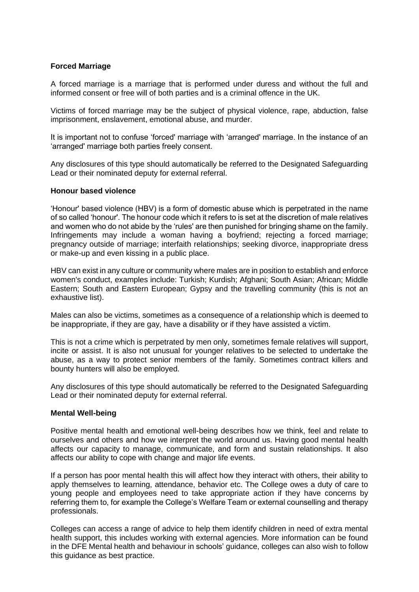#### **Forced Marriage**

A forced marriage is a marriage that is performed under duress and without the full and informed consent or free will of both parties and is a criminal offence in the UK.

Victims of forced marriage may be the subject of physical violence, rape, abduction, false imprisonment, enslavement, emotional abuse, and murder.

It is important not to confuse 'forced' marriage with 'arranged' marriage. In the instance of an 'arranged' marriage both parties freely consent.

Any disclosures of this type should automatically be referred to the Designated Safeguarding Lead or their nominated deputy for external referral.

#### **Honour based violence**

'Honour' based violence (HBV) is a form of domestic abuse which is perpetrated in the name of so called 'honour'. The honour code which it refers to is set at the discretion of male relatives and women who do not abide by the 'rules' are then punished for bringing shame on the family. Infringements may include a woman having a boyfriend; rejecting a forced marriage; pregnancy outside of marriage; interfaith relationships; seeking divorce, inappropriate dress or make-up and even kissing in a public place.

HBV can exist in any culture or community where males are in position to establish and enforce women's conduct, examples include: Turkish; Kurdish; Afghani; South Asian; African; Middle Eastern; South and Eastern European; Gypsy and the travelling community (this is not an exhaustive list).

Males can also be victims, sometimes as a consequence of a relationship which is deemed to be inappropriate, if they are gay, have a disability or if they have assisted a victim.

This is not a crime which is perpetrated by men only, sometimes female relatives will support, incite or assist. It is also not unusual for younger relatives to be selected to undertake the abuse, as a way to protect senior members of the family. Sometimes contract killers and bounty hunters will also be employed.

Any disclosures of this type should automatically be referred to the Designated Safeguarding Lead or their nominated deputy for external referral.

#### **Mental Well-being**

Positive mental health and emotional well-being describes how we think, feel and relate to ourselves and others and how we interpret the world around us. Having good mental health affects our capacity to manage, communicate, and form and sustain relationships. It also affects our ability to cope with change and major life events.

If a person has poor mental health this will affect how they interact with others, their ability to apply themselves to learning, attendance, behavior etc. The College owes a duty of care to young people and employees need to take appropriate action if they have concerns by referring them to, for example the College's Welfare Team or external counselling and therapy professionals.

Colleges can access a range of advice to help them identify children in need of extra mental health support, this includes working with external agencies. More information can be found in the DFE Mental health and behaviour in schools' guidance, colleges can also wish to follow this guidance as best practice.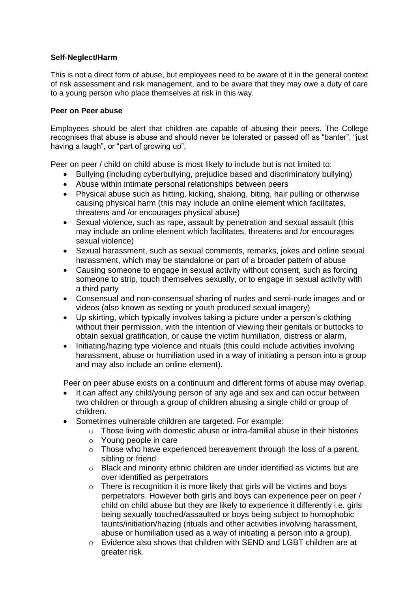# **Self-Neglect/Harm**

This is not a direct form of abuse, but employees need to be aware of it in the general context of risk assessment and risk management, and to be aware that they may owe a duty of care to a young person who place themselves at risk in this way.

#### **Peer on Peer abuse**

Employees should be alert that children are capable of abusing their peers. The College recognises that abuse is abuse and should never be tolerated or passed off as "banter", "just having a laugh", or "part of growing up".

Peer on peer / child on child abuse is most likely to include but is not limited to:

- Bullying (including cyberbullying, prejudice based and discriminatory bullying)
- Abuse within intimate personal relationships between peers
- Physical abuse such as hitting, kicking, shaking, biting, hair pulling or otherwise causing physical harm (this may include an online element which facilitates, threatens and /or encourages physical abuse)
- Sexual violence, such as rape, assault by penetration and sexual assault (this may include an online element which facilitates, threatens and /or encourages sexual violence)
- Sexual harassment, such as sexual comments, remarks, jokes and online sexual harassment, which may be standalone or part of a broader pattern of abuse
- Causing someone to engage in sexual activity without consent, such as forcing someone to strip, touch themselves sexually, or to engage in sexual activity with a third party
- Consensual and non-consensual sharing of nudes and semi-nude images and or videos (also known as sexting or youth produced sexual imagery)
- Up skirting, which typically involves taking a picture under a person's clothing without their permission, with the intention of viewing their genitals or buttocks to obtain sexual gratification, or cause the victim humiliation, distress or alarm,
- Initiating/hazing type violence and rituals (this could include activities involving harassment, abuse or humiliation used in a way of initiating a person into a group and may also include an online element).

Peer on peer abuse exists on a continuum and different forms of abuse may overlap.

- It can affect any child/young person of any age and sex and can occur between two children or through a group of children abusing a single child or group of children.
- Sometimes vulnerable children are targeted. For example:
	- o Those living with domestic abuse or intra-familial abuse in their histories
	- o Young people in care
	- o Those who have experienced bereavement through the loss of a parent, sibling or friend
	- $\circ$  Black and minority ethnic children are under identified as victims but are over identified as perpetrators
	- o There is recognition it is more likely that girls will be victims and boys perpetrators. However both girls and boys can experience peer on peer / child on child abuse but they are likely to experience it differently i.e. girls being sexually touched/assaulted or boys being subject to homophobic taunts/initiation/hazing (rituals and other activities involving harassment, abuse or humiliation used as a way of initiating a person into a group).
	- o Evidence also shows that children with SEND and LGBT children are at greater risk.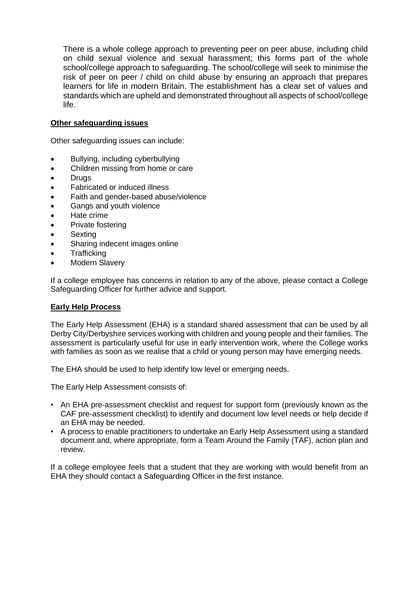There is a whole college approach to preventing peer on peer abuse, including child on child sexual violence and sexual harassment; this forms part of the whole school/college approach to safeguarding. The school/college will seek to minimise the risk of peer on peer / child on child abuse by ensuring an approach that prepares learners for life in modern Britain. The establishment has a clear set of values and standards which are upheld and demonstrated throughout all aspects of school/college life.

# **Other safeguarding issues**

Other safeguarding issues can include:

- Bullying, including cyberbullying
- Children missing from home or care
- Drugs
- Fabricated or induced illness
- Faith and gender-based abuse/violence
- Gangs and youth violence
- Hate crime
- Private fostering
- **Sexting**
- Sharing indecent images online
- **Trafficking**
- **Modern Slavery**

If a college employee has concerns in relation to any of the above, please contact a College Safeguarding Officer for further advice and support.

#### **Early Help Process**

The Early Help Assessment (EHA) is a standard shared assessment that can be used by all Derby City/Derbyshire services working with children and young people and their families. The assessment is particularly useful for use in early intervention work, where the College works with families as soon as we realise that a child or young person may have emerging needs.

The EHA should be used to help identify low level or emerging needs.

The Early Help Assessment consists of:

- An EHA pre-assessment checklist and request for support form (previously known as the CAF pre-assessment checklist) to identify and document low level needs or help decide if an EHA may be needed.
- A process to enable practitioners to undertake an Early Help Assessment using a standard document and, where appropriate, form a Team Around the Family (TAF), action plan and review.

If a college employee feels that a student that they are working with would benefit from an EHA they should contact a Safeguarding Officer in the first instance.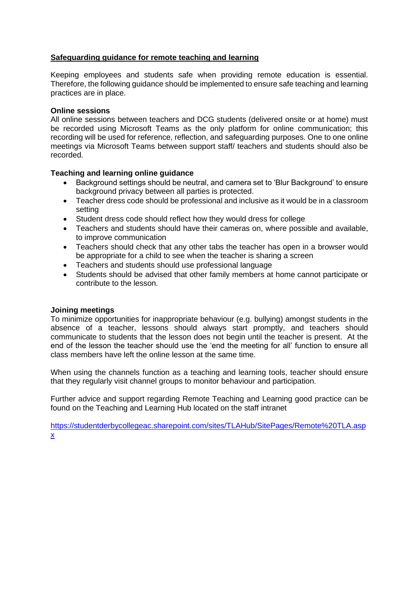# **Safeguarding guidance for remote teaching and learning**

Keeping employees and students safe when providing remote education is essential. Therefore, the following guidance should be implemented to ensure safe teaching and learning practices are in place.

#### **Online sessions**

All online sessions between teachers and DCG students (delivered onsite or at home) must be recorded using Microsoft Teams as the only platform for online communication; this recording will be used for reference, reflection, and safeguarding purposes. One to one online meetings via Microsoft Teams between support staff/ teachers and students should also be recorded.

#### **Teaching and learning online guidance**

- Background settings should be neutral, and camera set to 'Blur Background' to ensure background privacy between all parties is protected.
- Teacher dress code should be professional and inclusive as it would be in a classroom setting
- Student dress code should reflect how they would dress for college
- Teachers and students should have their cameras on, where possible and available, to improve communication
- Teachers should check that any other tabs the teacher has open in a browser would be appropriate for a child to see when the teacher is sharing a screen
- Teachers and students should use professional language
- Students should be advised that other family members at home cannot participate or contribute to the lesson.

#### **Joining meetings**

To minimize opportunities for inappropriate behaviour (e.g. bullying) amongst students in the absence of a teacher, lessons should always start promptly, and teachers should communicate to students that the lesson does not begin until the teacher is present. At the end of the lesson the teacher should use the 'end the meeting for all' function to ensure all class members have left the online lesson at the same time.

When using the channels function as a teaching and learning tools, teacher should ensure that they regularly visit channel groups to monitor behaviour and participation.

Further advice and support regarding Remote Teaching and Learning good practice can be found on the Teaching and Learning Hub located on the staff intranet

[https://studentderbycollegeac.sharepoint.com/sites/TLAHub/SitePages/Remote%20TLA.asp](https://studentderbycollegeac.sharepoint.com/sites/TLAHub/SitePages/Remote%20TLA.aspx) [x](https://studentderbycollegeac.sharepoint.com/sites/TLAHub/SitePages/Remote%20TLA.aspx)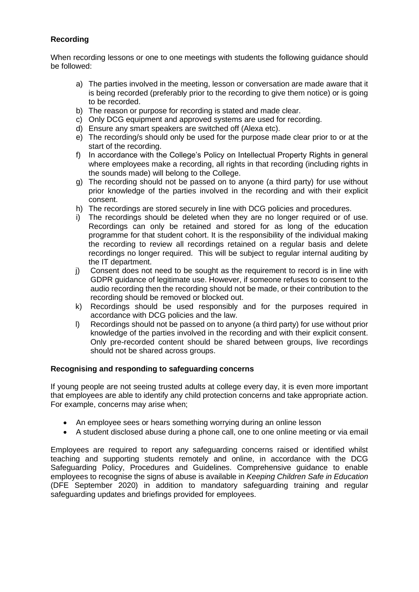# **Recording**

When recording lessons or one to one meetings with students the following guidance should be followed:

- a) The parties involved in the meeting, lesson or conversation are made aware that it is being recorded (preferably prior to the recording to give them notice) or is going to be recorded.
- b) The reason or purpose for recording is stated and made clear.
- c) Only DCG equipment and approved systems are used for recording.
- d) Ensure any smart speakers are switched off (Alexa etc).
- e) The recording/s should only be used for the purpose made clear prior to or at the start of the recording.
- f) In accordance with the College's Policy on Intellectual Property Rights in general where employees make a recording, all rights in that recording (including rights in the sounds made) will belong to the College.
- g) The recording should not be passed on to anyone (a third party) for use without prior knowledge of the parties involved in the recording and with their explicit consent.
- h) The recordings are stored securely in line with DCG policies and procedures.
- i) The recordings should be deleted when they are no longer required or of use. Recordings can only be retained and stored for as long of the education programme for that student cohort. It is the responsibility of the individual making the recording to review all recordings retained on a regular basis and delete recordings no longer required. This will be subject to regular internal auditing by the IT department.
- j) Consent does not need to be sought as the requirement to record is in line with GDPR guidance of legitimate use. However, if someone refuses to consent to the audio recording then the recording should not be made, or their contribution to the recording should be removed or blocked out.
- k) Recordings should be used responsibly and for the purposes required in accordance with DCG policies and the law.
- l) Recordings should not be passed on to anyone (a third party) for use without prior knowledge of the parties involved in the recording and with their explicit consent. Only pre-recorded content should be shared between groups, live recordings should not be shared across groups.

# **Recognising and responding to safeguarding concerns**

If young people are not seeing trusted adults at college every day, it is even more important that employees are able to identify any child protection concerns and take appropriate action. For example, concerns may arise when;

- An employee sees or hears something worrying during an online lesson
- A student disclosed abuse during a phone call, one to one online meeting or via email

Employees are required to report any safeguarding concerns raised or identified whilst teaching and supporting students remotely and online, in accordance with the DCG Safeguarding Policy, Procedures and Guidelines. Comprehensive guidance to enable employees to recognise the signs of abuse is available in *Keeping Children Safe in Education* (DFE September 2020) in addition to mandatory safeguarding training and regular safeguarding updates and briefings provided for employees.